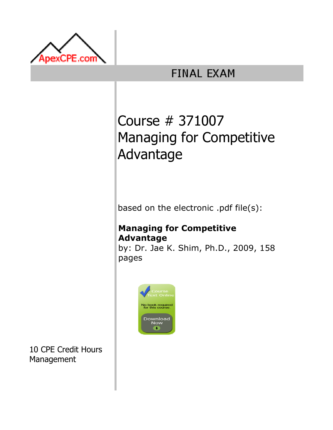

# **FINAL EXAM**

# Course # 371007 Managing for Competitive Advantage

based on the electronic .pdf file(s):

# Managing for Competitive Advantage

by: Dr. Jae K. Shim, Ph.D., 2009, 158 pages



10 CPE Credit Hours Management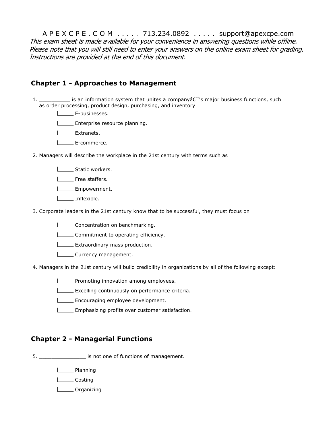A P E X C P E . C O M . . . . . 713.234.0892 . . . . . support@apexcpe.com This exam sheet is made available for your convenience in answering questions while offline. Please note that you will still need to enter your answers on the online exam sheet for grading. Instructions are provided at the end of this document.

#### Chapter 1 - Approaches to Management

- 1. \_\_\_\_\_\_\_\_\_\_\_\_\_ is an information system that unites a company $\hat{\mathsf{a}} \in \mathbb{M}$ s major business functions, such as order processing, product design, purchasing, and inventory
	- L**LE-businesses.**
	- **Enterprise resource planning.**
	- **L** Extranets.
	- **L**E-commerce.
- 2. Managers will describe the workplace in the 21st century with terms such as
	- Static workers.
	- **L** Free staffers.
	- **Letter** Empowerment.
	- **Inflexible.**
- 3. Corporate leaders in the 21st century know that to be successful, they must focus on
	- **Concentration on benchmarking.**
	- **LETT** Commitment to operating efficiency.
	- **Extraordinary mass production.**
	- Currency management.
- 4. Managers in the 21st century will build credibility in organizations by all of the following except:
	- **Promoting innovation among employees.**
	- **EXCELLING CONTIGUARY CONTINUOUS** On performance criteria.
	- **Encouraging employee development.**
	- **Emphasizing profits over customer satisfaction.**

## Chapter 2 - Managerial Functions

5. \_\_\_\_\_\_\_\_\_\_\_\_\_\_\_ is not one of functions of management.

**Lanning** 

L**Costina** 

Lorganizing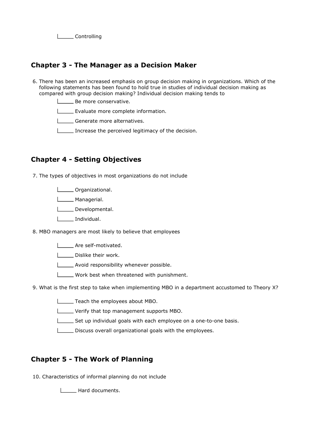L**Controlling** 

#### Chapter 3 - The Manager as a Decision Maker

6. There has been an increased emphasis on group decision making in organizations. Which of the following statements has been found to hold true in studies of individual decision making as compared with group decision making? Individual decision making tends to

**Be more conservative.** 

Evaluate more complete information.

Generate more alternatives.

Increase the perceived legitimacy of the decision.

## Chapter 4 - Setting Objectives

7. The types of objectives in most organizations do not include

**Lietus** Organizational.

**Lower** Managerial.

Developmental.

**Individual.** 

8. MBO managers are most likely to believe that employees

**LETTE** Are self-motivated.

Dislike their work.

**Letter** Avoid responsibility whenever possible.

Work best when threatened with punishment.

9. What is the first step to take when implementing MBO in a department accustomed to Theory X?

**Teach the employees about MBO.** 

Verify that top management supports MBO.

 $\Box$  Set up individual goals with each employee on a one-to-one basis.

 $\Box$  Discuss overall organizational goals with the employees.

## Chapter 5 - The Work of Planning

10. Characteristics of informal planning do not include

**LECTE** Hard documents.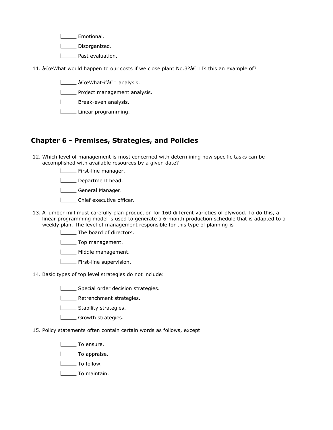- L**Emotional**.
- L\_\_\_\_\_\_ Disorganized.
- L**L** Past evaluation.
- 11. "What would happen to our costs if we close plant No.3?†Is this an example of?
	- | \_\_\_\_\_ "What-if†analysis.
	- **LETT** Project management analysis.
	- **LETTE:** Break-even analysis.
	- Linear programming.

#### Chapter 6 - Premises, Strategies, and Policies

- 12. Which level of management is most concerned with determining how specific tasks can be accomplished with available resources by a given date?
	- **Example 15 First-line manager.**
	- Department head.
	- General Manager.
	- **LETT** Chief executive officer.
- 13. A lumber mill must carefully plan production for 160 different varieties of plywood. To do this, a linear programming model is used to generate a 6-month production schedule that is adapted to a weekly plan. The level of management responsible for this type of planning is
	- **The board of directors.**
	- **LETTED** Top management.
	- Middle management.
	- **LETTE:** First-line supervision.
- 14. Basic types of top level strategies do not include:
	- Special order decision strategies.
	- L\_\_\_\_\_ Retrenchment strategies.
	- **LETTE** Stability strategies.
	- Growth strategies.
- 15. Policy statements often contain certain words as follows, except
	- Letter To ensure.
	- L\_\_\_\_\_\_ To appraise.
	- L\_\_\_\_\_\_ To follow.
	- To maintain.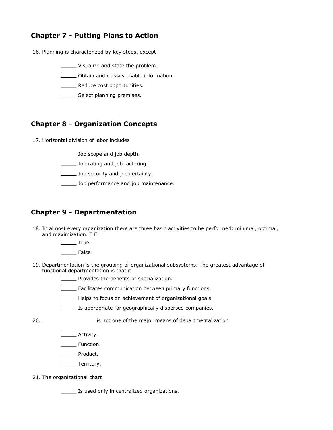# Chapter 7 - Putting Plans to Action

- 16. Planning is characterized by key steps, except
	- Visualize and state the problem.
	- **Cobtain and classify usable information.**
	- **LECTE** Reduce cost opportunities.
	- Select planning premises.

#### Chapter 8 - Organization Concepts

17. Horizontal division of labor includes

**Letter** Job scope and job depth.

**Job rating and job factoring.** 

**Job security and job certainty.** 

**Job performance and job maintenance.** 

#### Chapter 9 - Departmentation

18. In almost every organization there are three basic activities to be performed: minimal, optimal, and maximization. T F

L<sub>True</sub>

- I \_\_\_\_ False
- 19. Departmentation is the grouping of organizational subsystems. The greatest advantage of functional departmentation is that it

**Provides the benefits of specialization.** 

Facilitates communication between primary functions.

Helps to focus on achievement of organizational goals.

Is appropriate for geographically dispersed companies.

20. \_\_\_\_\_\_\_\_\_\_\_\_\_\_\_\_\_ is not one of the major means of departmentalization

- **LECTE** Activity.
- L<sub>L</sub> Function.
- I\_\_\_\_ Product.
- **Letter** Territory.

21. The organizational chart

**IS used only in centralized organizations.**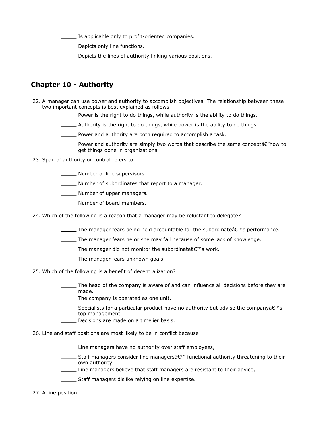**IS applicable only to profit-oriented companies.** 

Depicts only line functions.

Depicts the lines of authority linking various positions.

#### Chapter 10 - Authority

- 22. A manager can use power and authority to accomplish objectives. The relationship between these two important concepts is best explained as follows
	- Power is the right to do things, while authority is the ability to do things.
	- $\Box$  Authority is the right to do things, while power is the ability to do things.
	- **Power and authority are both required to accomplish a task.**
	- **Power and authority are simply two words that describe the same conceptate** how to get things done in organizations.

#### 23. Span of authority or control refers to

- **Number of line supervisors.**
- Number of subordinates that report to a manager.
- **LETTE** Number of upper managers.
- **Number of board members.**
- 24. Which of the following is a reason that a manager may be reluctant to delegate?
	- The manager fears being held accountable for the subordinate  $\hat{\epsilon} \in \mathbb{N}$  performance.
	- The manager fears he or she may fail because of some lack of knowledge.
	- $\Box$  The manager did not monitor the subordinate  $\hat{\theta} \in \mathbb{R}^m$ s work.
	- **The manager fears unknown goals.**
- 25. Which of the following is a benefit of decentralization?
	- The head of the company is aware of and can influence all decisions before they are made.
	- The company is operated as one unit.
	- Specialists for a particular product have no authority but advise the company $\hat{\mathsf{a}} \in \mathbb{N}$ top management.
	- Decisions are made on a timelier basis.
- 26. Line and staff positions are most likely to be in conflict because
	- Line managers have no authority over staff employees,
	- Staff managers consider line managers $\hat{\mathbf{s}} \in \mathbb{S}^m$  functional authority threatening to their own authority.
	- Line managers believe that staff managers are resistant to their advice,
	- Staff managers dislike relying on line expertise.
- 27. A line position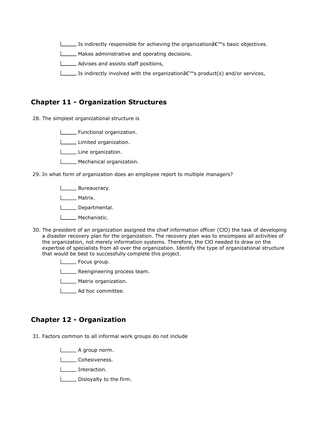Is indirectly responsible for achieving the organization $\hat{\mathbf{c}} \in \mathbb{C}^N$  basic objectives.

Makes administrative and operating decisions.

**LETT** Advises and assists staff positions,

Is indirectly involved with the organization $\hat{\mathbf{f}} \in \mathbb{R}^m$  product(s) and/or services,

#### Chapter 11 - Organization Structures

28. The simplest organizational structure is

**L** Functional organization.

Limited organization.

Line organization.

**LECOMETE Mechanical organization.** 

29. In what form of organization does an employee report to multiple managers?

**Lower** Bureaucracy.

Matrix.

Departmental.

**L**\_\_\_\_\_\_ Mechanistic.

- 30. The president of an organization assigned the chief information officer (ClO) the task of developing a disaster recovery plan for the organization. The recovery plan was to encompass all activities of the organization, not merely information systems. Therefore, the ClO needed to draw on the expertise of specialists from all over the organization. Identify the type of organizational structure that would be best to successfully complete this project.
	- **L** Focus group.
	- **LECT** Reengineering process team.
	- **Matrix organization.**
	- L\_\_\_\_\_ Ad hoc committee.

#### Chapter 12 - Organization

31. Factors common to all informal work groups do not include

**L** A group norm.

Cohesiveness.

**Interaction.** 

Disloyalty to the firm.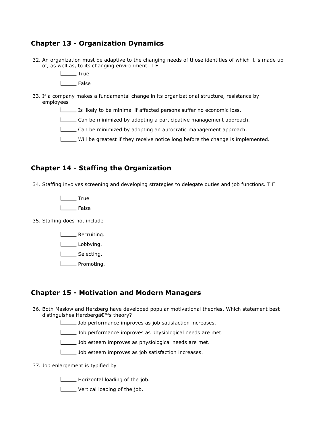## Chapter 13 - Organization Dynamics

- 32. An organization must be adaptive to the changing needs of those identities of which it is made up of, as well as, to its changing environment. T F
	- L<sub>tue</sub> True
	- I \_\_\_ False
- 33. If a company makes a fundamental change in its organizational structure, resistance by employees
	- Is likely to be minimal if affected persons suffer no economic loss.
	- Can be minimized by adopting a participative management approach.
	- Can be minimized by adopting an autocratic management approach.
	- Will be greatest if they receive notice long before the change is implemented.

#### Chapter 14 - Staffing the Organization

34. Staffing involves screening and developing strategies to delegate duties and job functions. T F

L<sub>True</sub>

L<sub>False</sub>

35. Staffing does not include

**LEAU** Recruiting.

Lobbying.

L\_\_\_\_\_\_\_ Selecting.

**Liefter** Promoting.

#### Chapter 15 - Motivation and Modern Managers

- 36. Both Maslow and Herzberg have developed popular motivational theories. Which statement best distinguishes Herzberg's theory?
	- Job performance improves as job satisfaction increases.
	- Job performance improves as physiological needs are met.

**Letter 3** Job esteem improves as physiological needs are met.

- Job esteem improves as job satisfaction increases.
- 37. Job enlargement is typified by

Horizontal loading of the job.

**Lettical loading of the job.**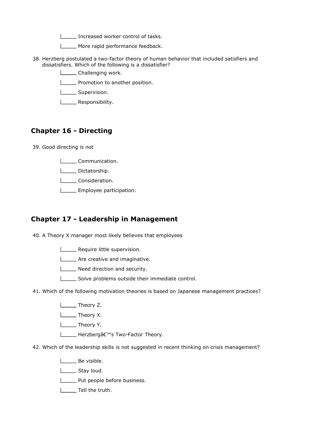Increased worker control of tasks.

More rapid performance feedback.

- 38. Herzberg postulated a two-factor theory of human behavior that included satisfiers and dissatisfiers. Which of the following is a dissatisfier?
	- **LETT** Challenging work.
	- **LETT** Promotion to another position.
	- **Lichnal** Supervision.
	- **LETTE** Responsibility.

#### Chapter 16 - Directing

- 39. Good directing is not
	- Communication.
	- Dictatorship.
	- **Louis** Consideration.
	- **Employee participation.**

#### Chapter 17 - Leadership in Management

40. A Theory X manager most likely believes that employees

- **LETT** Require little supervision.
- **LETT** Are creative and imaginative.
- **Need direction and security.**
- Solve problems outside their immediate control.
- 41. Which of the following motivation theories is based on Japanese management practices?
	- **Letter** Theory Z.
	- **Listing** Theory X.
	- Theory Y.
	- **L** Herzberg's Two-Factor Theory.
- 42. Which of the leadership skills is not suggested in recent thinking on crisis management?
	- **L** Be visible.
	- Stay loud.
	- **LETTE:** Put people before business.
	- **L**\_\_\_\_\_\_ Tell the truth.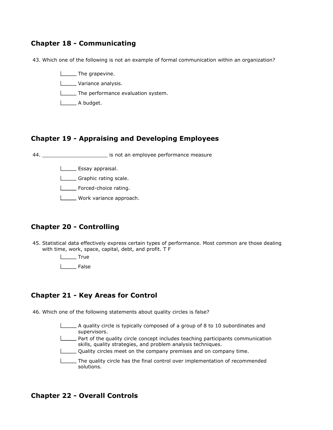#### Chapter 18 - Communicating

43. Which one of the following is not an example of formal communication within an organization?

**The grapevine. Letter** Variance analysis.

**The performance evaluation system.** 

L<sub>A</sub> budget.

#### Chapter 19 - Appraising and Developing Employees

44. \_\_\_\_\_\_\_\_\_\_\_\_\_\_\_\_\_\_\_\_\_ is not an employee performance measure

**LESSAY** appraisal.

Graphic rating scale.

Forced-choice rating.

Work variance approach.

#### Chapter 20 - Controlling

45. Statistical data effectively express certain types of performance. Most common are those dealing with time, work, space, capital, debt, and profit. T F

> L<sub>True</sub> L<sub>False</sub>

#### Chapter 21 - Key Areas for Control

46. Which one of the following statements about quality circles is false?

A quality circle is typically composed of a group of 8 to 10 subordinates and supervisors. **Part of the quality circle concept includes teaching participants communication** skills, quality strategies, and problem analysis techniques. Quality circles meet on the company premises and on company time. The quality circle has the final control over implementation of recommended solutions.

#### Chapter 22 - Overall Controls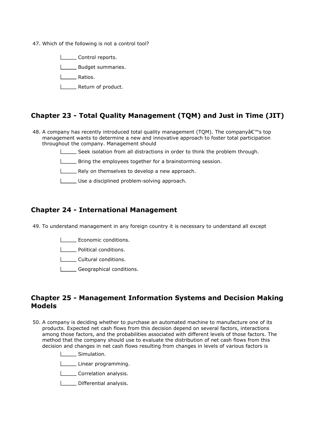47. Which of the following is not a control tool?

**LETT** Control reports.

**LECTE** Budget summaries.

| Ratios.

**LETTE** Return of product.

#### Chapter 23 - Total Quality Management (TQM) and Just in Time (JIT)

- 48. A company has recently introduced total quality management (TQM). The company's top management wants to determine a new and innovative approach to foster total participation throughout the company. Management should
	- Seek isolation from all distractions in order to think the problem through.
	- **LETT** Bring the employees together for a brainstorming session.
	- Rely on themselves to develop a new approach.
	- Use a disciplined problem-solving approach.

#### Chapter 24 - International Management

49. To understand management in any foreign country it is necessary to understand all except

Economic conditions.

**L\_\_\_\_\_** Political conditions.

| Cultural conditions.

Geographical conditions.

#### Chapter 25 - Management Information Systems and Decision Making Models

50. A company is deciding whether to purchase an automated machine to manufacture one of its products. Expected net cash flows from this decision depend on several factors, interactions among those factors, and the probabilities associated with different levels of those factors. The method that the company should use to evaluate the distribution of net cash flows from this decision and changes in net cash flows resulting from changes in levels of various factors is

Simulation.

Linear programming.

- **LECORDITE:** Correlation analysis.
- Differential analysis.